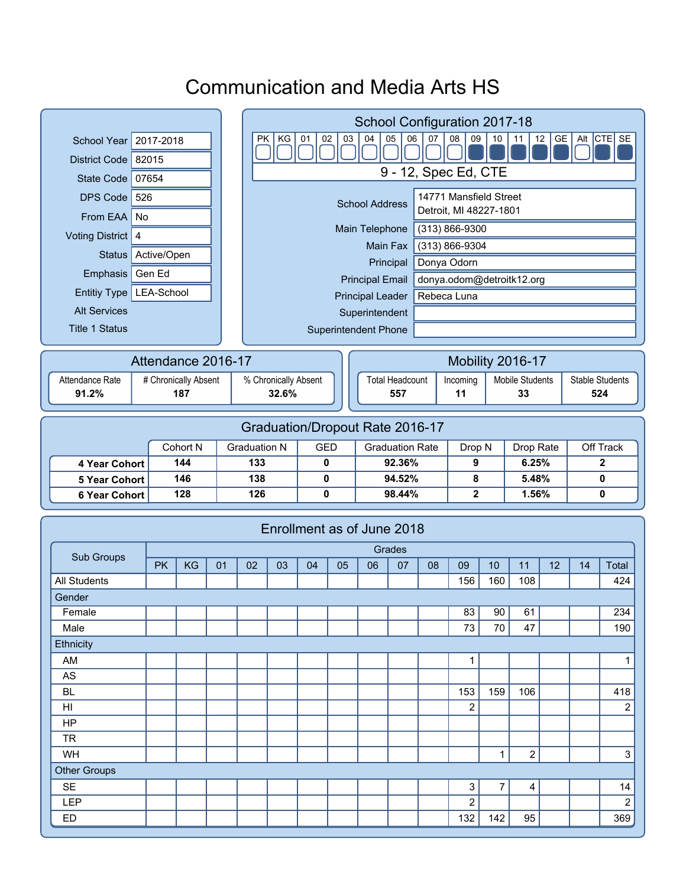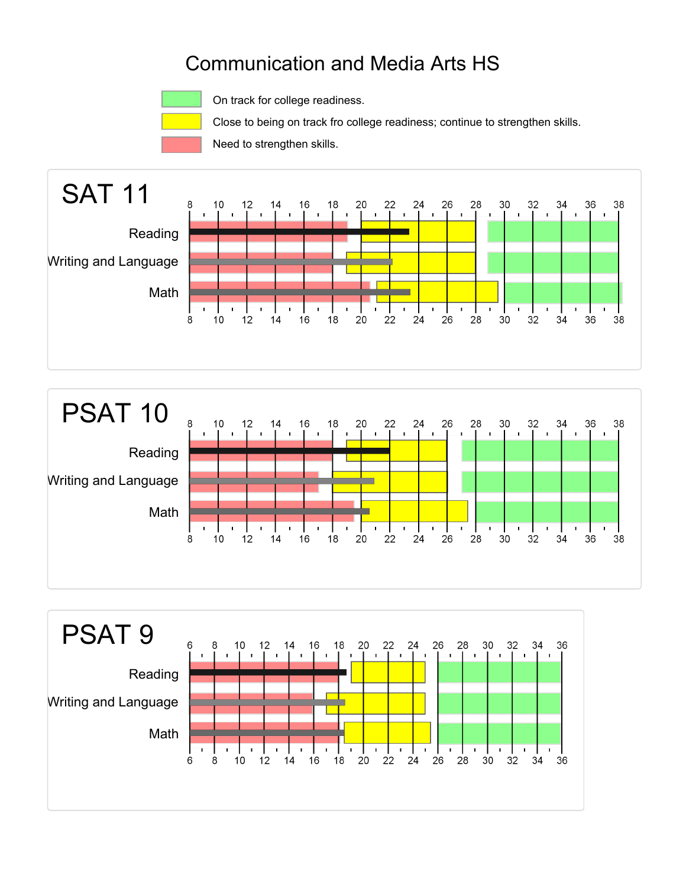

On track for college readiness.

Close to being on track fro college readiness; continue to strengthen skills.

Need to strengthen skills.





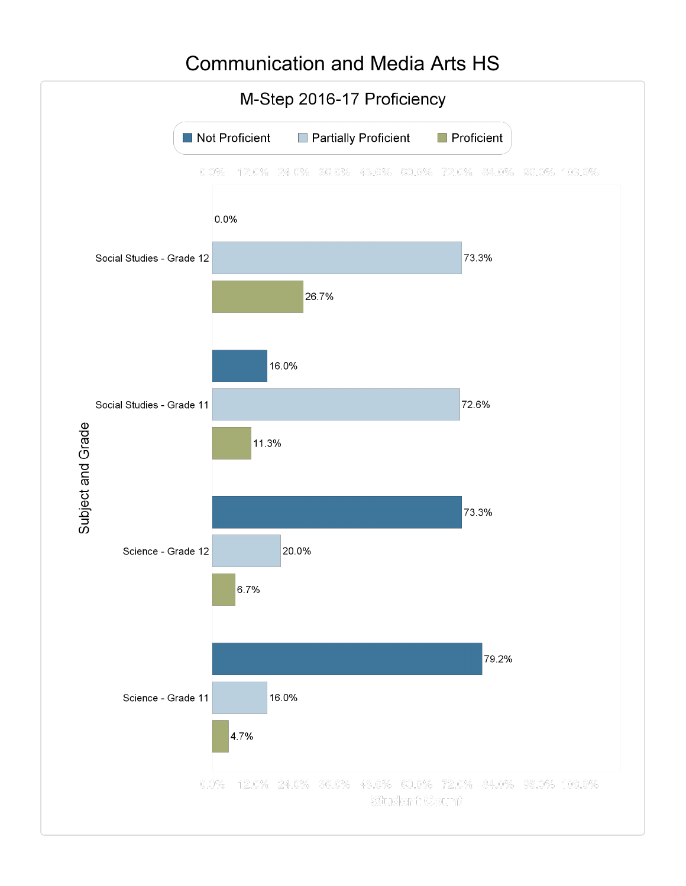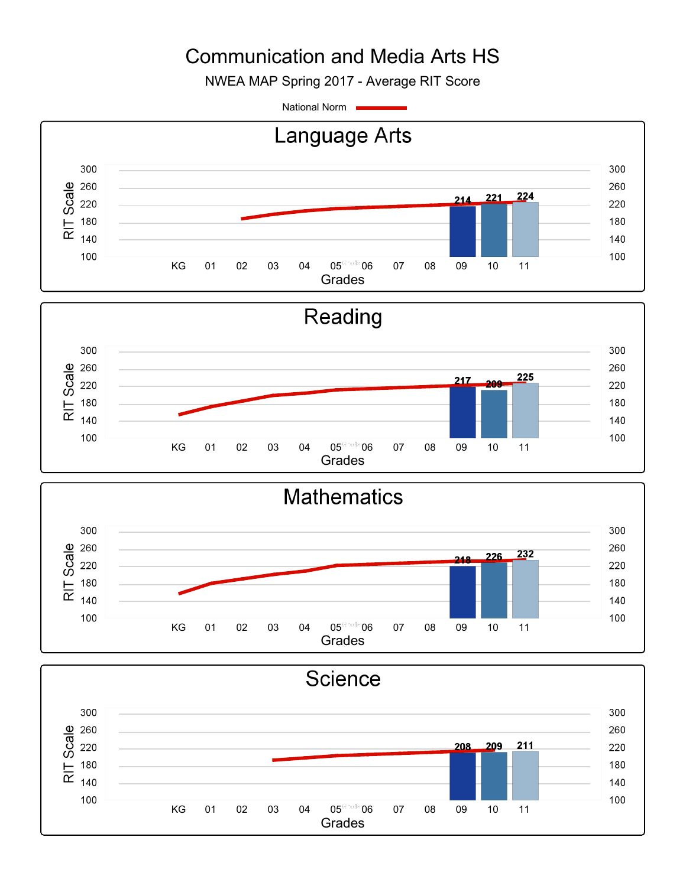NWEA MAP Spring 2017 - Average RIT Score

National Norm